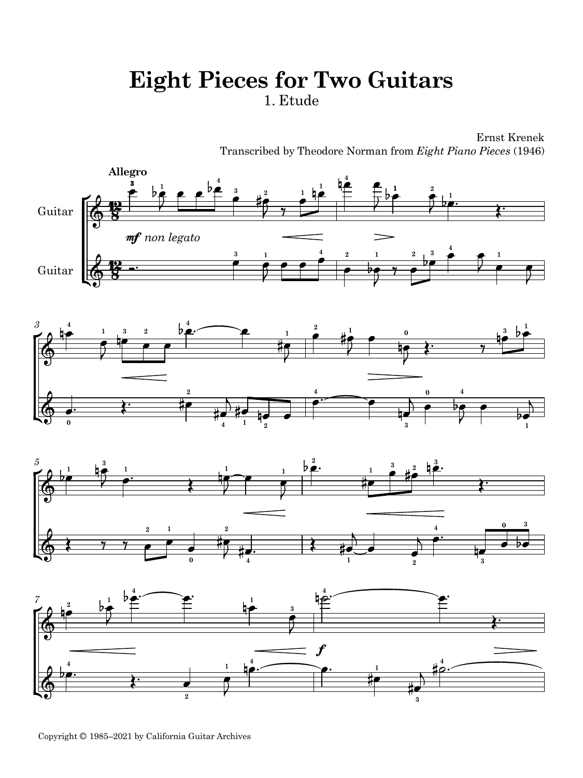## **Eight Pieces for Two Guitars** 1. Etude

Ernst Krenek Transcribed by Theodore Norman from *Eight Piano Pieces* (1946)

**3**



**2**